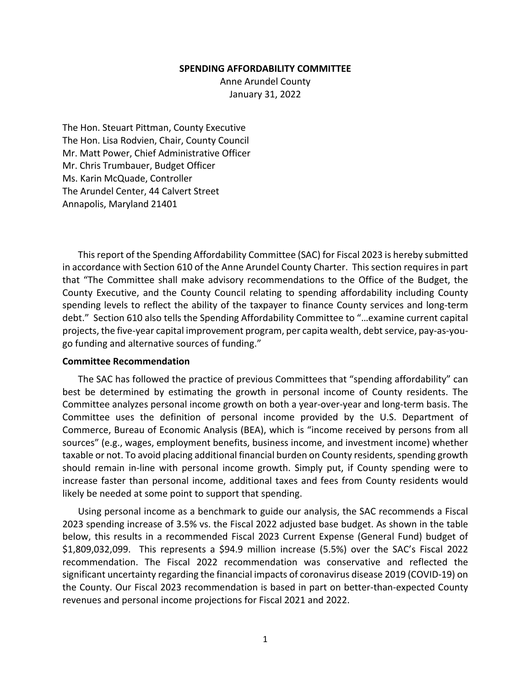#### **SPENDING AFFORDABILITY COMMITTEE**

Anne Arundel County January 31, 2022

The Hon. Steuart Pittman, County Executive The Hon. Lisa Rodvien, Chair, County Council Mr. Matt Power, Chief Administrative Officer Mr. Chris Trumbauer, Budget Officer Ms. Karin McQuade, Controller The Arundel Center, 44 Calvert Street Annapolis, Maryland 21401

This report of the Spending Affordability Committee (SAC) for Fiscal 2023 is hereby submitted in accordance with Section 610 of the Anne Arundel County Charter. This section requires in part that "The Committee shall make advisory recommendations to the Office of the Budget, the County Executive, and the County Council relating to spending affordability including County spending levels to reflect the ability of the taxpayer to finance County services and long-term debt." Section 610 also tells the Spending Affordability Committee to "…examine current capital projects, the five-year capital improvement program, per capita wealth, debt service, pay-as-yougo funding and alternative sources of funding."

### **Committee Recommendation**

The SAC has followed the practice of previous Committees that "spending affordability" can best be determined by estimating the growth in personal income of County residents. The Committee analyzes personal income growth on both a year‐over‐year and long‐term basis. The Committee uses the definition of personal income provided by the U.S. Department of Commerce, Bureau of Economic Analysis (BEA), which is "income received by persons from all sources" (e.g., wages, employment benefits, business income, and investment income) whether taxable or not. To avoid placing additional financial burden on County residents, spending growth should remain in‐line with personal income growth. Simply put, if County spending were to increase faster than personal income, additional taxes and fees from County residents would likely be needed at some point to support that spending.

Using personal income as a benchmark to guide our analysis, the SAC recommends a Fiscal 2023 spending increase of 3.5% vs. the Fiscal 2022 adjusted base budget. As shown in the table below, this results in a recommended Fiscal 2023 Current Expense (General Fund) budget of \$1,809,032,099. This represents a \$94.9 million increase (5.5%) over the SAC's Fiscal 2022 recommendation. The Fiscal 2022 recommendation was conservative and reflected the significant uncertainty regarding the financial impacts of coronavirus disease 2019 (COVID‐19) on the County. Our Fiscal 2023 recommendation is based in part on better‐than‐expected County revenues and personal income projections for Fiscal 2021 and 2022.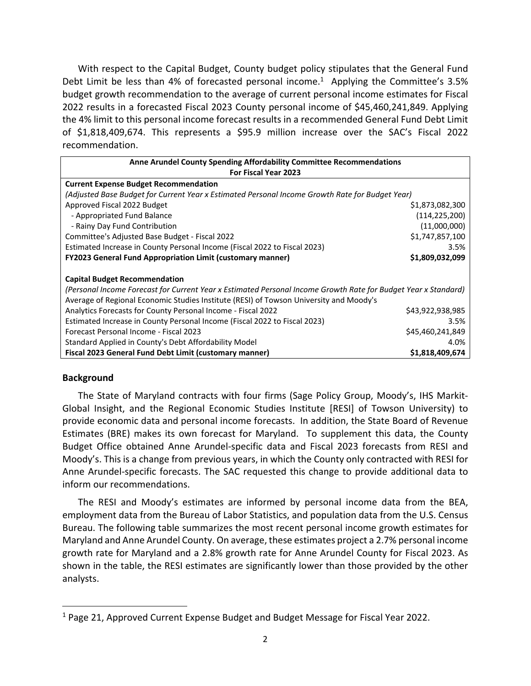With respect to the Capital Budget, County budget policy stipulates that the General Fund Debt Limit be less than 4% of forecasted personal income.<sup>1</sup> Applying the Committee's 3.5% budget growth recommendation to the average of current personal income estimates for Fiscal 2022 results in a forecasted Fiscal 2023 County personal income of \$45,460,241,849. Applying the 4% limit to this personal income forecast results in a recommended General Fund Debt Limit of \$1,818,409,674. This represents a \$95.9 million increase over the SAC's Fiscal 2022 recommendation.

| <b>Anne Arundel County Spending Affordability Committee Recommendations</b>                                    |                  |  |
|----------------------------------------------------------------------------------------------------------------|------------------|--|
| <b>For Fiscal Year 2023</b>                                                                                    |                  |  |
| <b>Current Expense Budget Recommendation</b>                                                                   |                  |  |
| (Adjusted Base Budget for Current Year x Estimated Personal Income Growth Rate for Budget Year)                |                  |  |
| Approved Fiscal 2022 Budget                                                                                    | \$1,873,082,300  |  |
| - Appropriated Fund Balance                                                                                    | (114, 225, 200)  |  |
| - Rainy Day Fund Contribution                                                                                  | (11,000,000)     |  |
| Committee's Adjusted Base Budget - Fiscal 2022                                                                 | \$1,747,857,100  |  |
| Estimated Increase in County Personal Income (Fiscal 2022 to Fiscal 2023)                                      | 3.5%             |  |
| <b>FY2023 General Fund Appropriation Limit (customary manner)</b>                                              | \$1,809,032,099  |  |
|                                                                                                                |                  |  |
| <b>Capital Budget Recommendation</b>                                                                           |                  |  |
| (Personal Income Forecast for Current Year x Estimated Personal Income Growth Rate for Budget Year x Standard) |                  |  |
| Average of Regional Economic Studies Institute (RESI) of Towson University and Moody's                         |                  |  |
| Analytics Forecasts for County Personal Income - Fiscal 2022                                                   | \$43,922,938,985 |  |
| Estimated Increase in County Personal Income (Fiscal 2022 to Fiscal 2023)                                      | 3.5%             |  |
| Forecast Personal Income - Fiscal 2023                                                                         | \$45,460,241,849 |  |
| Standard Applied in County's Debt Affordability Model                                                          | 4.0%             |  |
| Fiscal 2023 General Fund Debt Limit (customary manner)                                                         | \$1,818,409,674  |  |

## **Background**

The State of Maryland contracts with four firms (Sage Policy Group, Moody's, IHS Markit‐ Global Insight, and the Regional Economic Studies Institute [RESI] of Towson University) to provide economic data and personal income forecasts. In addition, the State Board of Revenue Estimates (BRE) makes its own forecast for Maryland. To supplement this data, the County Budget Office obtained Anne Arundel‐specific data and Fiscal 2023 forecasts from RESI and Moody's. This is a change from previous years, in which the County only contracted with RESI for Anne Arundel‐specific forecasts. The SAC requested this change to provide additional data to inform our recommendations.

The RESI and Moody's estimates are informed by personal income data from the BEA, employment data from the Bureau of Labor Statistics, and population data from the U.S. Census Bureau. The following table summarizes the most recent personal income growth estimates for Maryland and Anne Arundel County. On average, these estimates project a 2.7% personal income growth rate for Maryland and a 2.8% growth rate for Anne Arundel County for Fiscal 2023. As shown in the table, the RESI estimates are significantly lower than those provided by the other analysts.

<sup>&</sup>lt;sup>1</sup> Page 21, Approved Current Expense Budget and Budget Message for Fiscal Year 2022.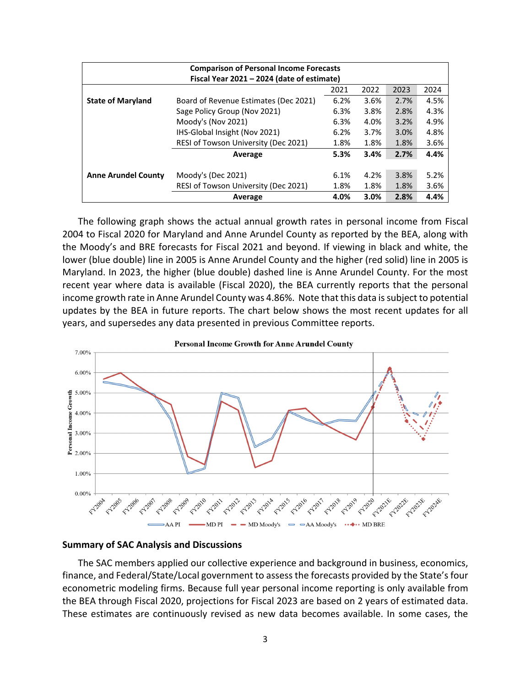| <b>Comparison of Personal Income Forecasts</b> |                                       |      |      |      |      |  |
|------------------------------------------------|---------------------------------------|------|------|------|------|--|
| Fiscal Year 2021 - 2024 (date of estimate)     |                                       |      |      |      |      |  |
|                                                |                                       | 2021 | 2022 | 2023 | 2024 |  |
| <b>State of Maryland</b>                       | Board of Revenue Estimates (Dec 2021) | 6.2% | 3.6% | 2.7% | 4.5% |  |
|                                                | Sage Policy Group (Nov 2021)          | 6.3% | 3.8% | 2.8% | 4.3% |  |
|                                                | Moody's (Nov 2021)                    | 6.3% | 4.0% | 3.2% | 4.9% |  |
|                                                | IHS-Global Insight (Nov 2021)         | 6.2% | 3.7% | 3.0% | 4.8% |  |
|                                                | RESI of Towson University (Dec 2021)  | 1.8% | 1.8% | 1.8% | 3.6% |  |
|                                                | Average                               | 5.3% | 3.4% | 2.7% | 4.4% |  |
|                                                |                                       |      |      |      |      |  |
| <b>Anne Arundel County</b>                     | Moody's (Dec 2021)                    | 6.1% | 4.2% | 3.8% | 5.2% |  |
|                                                | RESI of Towson University (Dec 2021)  | 1.8% | 1.8% | 1.8% | 3.6% |  |
|                                                | Average                               | 4.0% | 3.0% | 2.8% | 4.4% |  |

The following graph shows the actual annual growth rates in personal income from Fiscal 2004 to Fiscal 2020 for Maryland and Anne Arundel County as reported by the BEA, along with the Moody's and BRE forecasts for Fiscal 2021 and beyond. If viewing in black and white, the lower (blue double) line in 2005 is Anne Arundel County and the higher (red solid) line in 2005 is Maryland. In 2023, the higher (blue double) dashed line is Anne Arundel County. For the most recent year where data is available (Fiscal 2020), the BEA currently reports that the personal income growth rate in Anne Arundel County was 4.86%. Note that this data issubject to potential updates by the BEA in future reports. The chart below shows the most recent updates for all years, and supersedes any data presented in previous Committee reports.



### **Summary of SAC Analysis and Discussions**

The SAC members applied our collective experience and background in business, economics, finance, and Federal/State/Local government to assess the forecasts provided by the State's four econometric modeling firms. Because full year personal income reporting is only available from the BEA through Fiscal 2020, projections for Fiscal 2023 are based on 2 years of estimated data. These estimates are continuously revised as new data becomes available. In some cases, the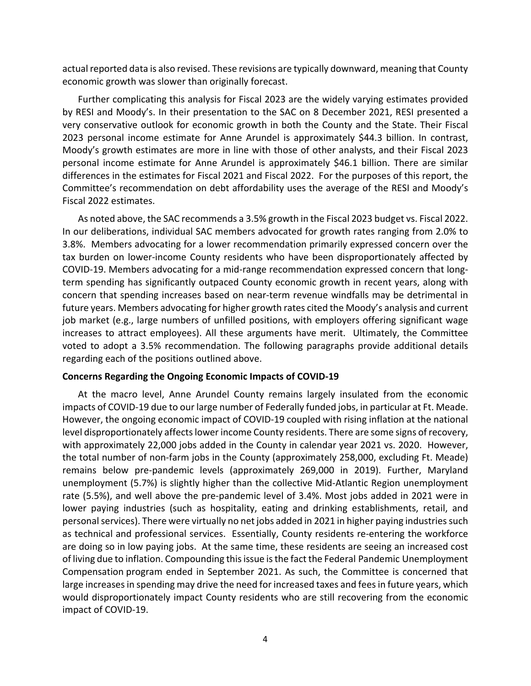actual reported data is also revised. These revisions are typically downward, meaning that County economic growth was slower than originally forecast.

Further complicating this analysis for Fiscal 2023 are the widely varying estimates provided by RESI and Moody's. In their presentation to the SAC on 8 December 2021, RESI presented a very conservative outlook for economic growth in both the County and the State. Their Fiscal 2023 personal income estimate for Anne Arundel is approximately \$44.3 billion. In contrast, Moody's growth estimates are more in line with those of other analysts, and their Fiscal 2023 personal income estimate for Anne Arundel is approximately \$46.1 billion. There are similar differences in the estimates for Fiscal 2021 and Fiscal 2022. For the purposes of this report, the Committee's recommendation on debt affordability uses the average of the RESI and Moody's Fiscal 2022 estimates.

As noted above, the SAC recommends a 3.5% growth in the Fiscal 2023 budget vs. Fiscal 2022. In our deliberations, individual SAC members advocated for growth rates ranging from 2.0% to 3.8%. Members advocating for a lower recommendation primarily expressed concern over the tax burden on lower‐income County residents who have been disproportionately affected by COVID‐19. Members advocating for a mid‐range recommendation expressed concern that long‐ term spending has significantly outpaced County economic growth in recent years, along with concern that spending increases based on near‐term revenue windfalls may be detrimental in future years. Members advocating for higher growth rates cited the Moody's analysis and current job market (e.g., large numbers of unfilled positions, with employers offering significant wage increases to attract employees). All these arguments have merit. Ultimately, the Committee voted to adopt a 3.5% recommendation. The following paragraphs provide additional details regarding each of the positions outlined above.

## **Concerns Regarding the Ongoing Economic Impacts of COVID‐19**

At the macro level, Anne Arundel County remains largely insulated from the economic impacts of COVID‐19 due to our large number of Federally funded jobs, in particular at Ft. Meade. However, the ongoing economic impact of COVID‐19 coupled with rising inflation at the national level disproportionately affects lower income County residents. There are some signs of recovery, with approximately 22,000 jobs added in the County in calendar year 2021 vs. 2020. However, the total number of non‐farm jobs in the County (approximately 258,000, excluding Ft. Meade) remains below pre‐pandemic levels (approximately 269,000 in 2019). Further, Maryland unemployment (5.7%) is slightly higher than the collective Mid‐Atlantic Region unemployment rate (5.5%), and well above the pre‐pandemic level of 3.4%. Most jobs added in 2021 were in lower paying industries (such as hospitality, eating and drinking establishments, retail, and personal services). There were virtually no net jobs added in 2021 in higher paying industries such as technical and professional services. Essentially, County residents re‐entering the workforce are doing so in low paying jobs. At the same time, these residents are seeing an increased cost of living due to inflation. Compounding thisissue isthe fact the Federal Pandemic Unemployment Compensation program ended in September 2021. As such, the Committee is concerned that large increases in spending may drive the need for increased taxes and fees in future years, which would disproportionately impact County residents who are still recovering from the economic impact of COVID‐19.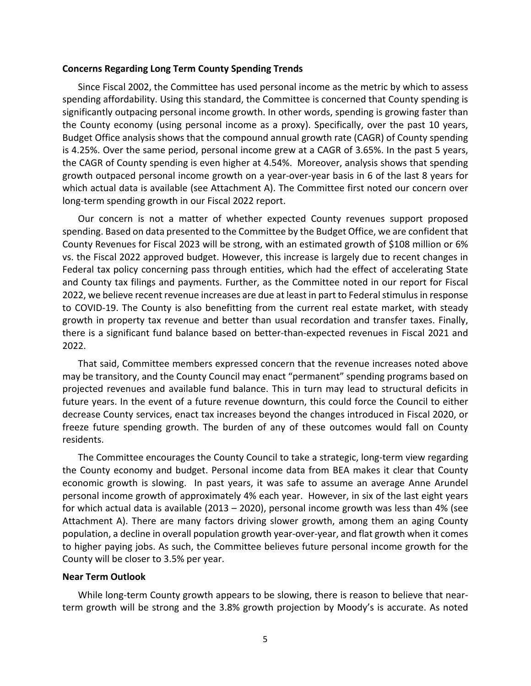#### **Concerns Regarding Long Term County Spending Trends**

Since Fiscal 2002, the Committee has used personal income as the metric by which to assess spending affordability. Using this standard, the Committee is concerned that County spending is significantly outpacing personal income growth. In other words, spending is growing faster than the County economy (using personal income as a proxy). Specifically, over the past 10 years, Budget Office analysis shows that the compound annual growth rate (CAGR) of County spending is 4.25%. Over the same period, personal income grew at a CAGR of 3.65%. In the past 5 years, the CAGR of County spending is even higher at 4.54%. Moreover, analysis shows that spending growth outpaced personal income growth on a year‐over‐year basis in 6 of the last 8 years for which actual data is available (see Attachment A). The Committee first noted our concern over long‐term spending growth in our Fiscal 2022 report.

Our concern is not a matter of whether expected County revenues support proposed spending. Based on data presented to the Committee by the Budget Office, we are confident that County Revenues for Fiscal 2023 will be strong, with an estimated growth of \$108 million or 6% vs. the Fiscal 2022 approved budget. However, this increase is largely due to recent changes in Federal tax policy concerning pass through entities, which had the effect of accelerating State and County tax filings and payments. Further, as the Committee noted in our report for Fiscal 2022, we believe recent revenue increases are due at least in part to Federal stimulus in response to COVID‐19. The County is also benefitting from the current real estate market, with steady growth in property tax revenue and better than usual recordation and transfer taxes. Finally, there is a significant fund balance based on better-than-expected revenues in Fiscal 2021 and 2022.

That said, Committee members expressed concern that the revenue increases noted above may be transitory, and the County Council may enact "permanent" spending programs based on projected revenues and available fund balance. This in turn may lead to structural deficits in future years. In the event of a future revenue downturn, this could force the Council to either decrease County services, enact tax increases beyond the changes introduced in Fiscal 2020, or freeze future spending growth. The burden of any of these outcomes would fall on County residents.

The Committee encourages the County Council to take a strategic, long‐term view regarding the County economy and budget. Personal income data from BEA makes it clear that County economic growth is slowing. In past years, it was safe to assume an average Anne Arundel personal income growth of approximately 4% each year. However, in six of the last eight years for which actual data is available (2013 – 2020), personal income growth was less than 4% (see Attachment A). There are many factors driving slower growth, among them an aging County population, a decline in overall population growth year‐over‐year, and flat growth when it comes to higher paying jobs. As such, the Committee believes future personal income growth for the County will be closer to 3.5% per year.

## **Near Term Outlook**

While long-term County growth appears to be slowing, there is reason to believe that nearterm growth will be strong and the 3.8% growth projection by Moody's is accurate. As noted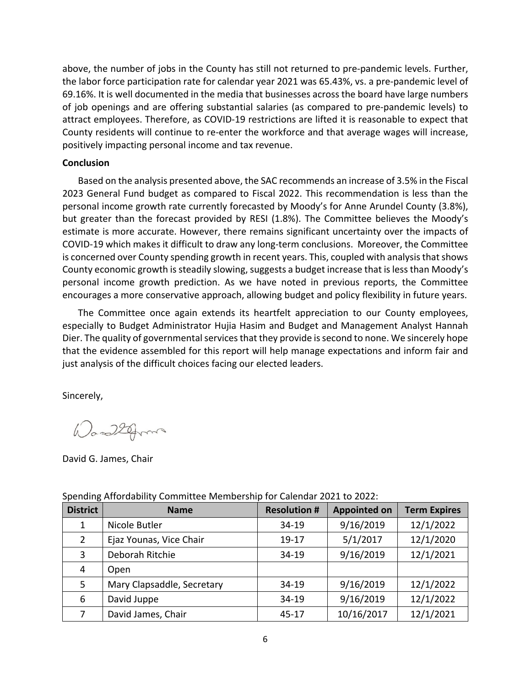above, the number of jobs in the County has still not returned to pre‐pandemic levels. Further, the labor force participation rate for calendar year 2021 was 65.43%, vs. a pre‐pandemic level of 69.16%. It is well documented in the media that businesses across the board have large numbers of job openings and are offering substantial salaries (as compared to pre‐pandemic levels) to attract employees. Therefore, as COVID‐19 restrictions are lifted it is reasonable to expect that County residents will continue to re‐enter the workforce and that average wages will increase, positively impacting personal income and tax revenue.

## **Conclusion**

Based on the analysis presented above, the SAC recommends an increase of 3.5% in the Fiscal 2023 General Fund budget as compared to Fiscal 2022. This recommendation is less than the personal income growth rate currently forecasted by Moody's for Anne Arundel County (3.8%), but greater than the forecast provided by RESI (1.8%). The Committee believes the Moody's estimate is more accurate. However, there remains significant uncertainty over the impacts of COVID‐19 which makes it difficult to draw any long‐term conclusions. Moreover, the Committee is concerned over County spending growth in recent years. This, coupled with analysis that shows County economic growth is steadily slowing, suggests a budget increase that is less than Moody's personal income growth prediction. As we have noted in previous reports, the Committee encourages a more conservative approach, allowing budget and policy flexibility in future years.

The Committee once again extends its heartfelt appreciation to our County employees, especially to Budget Administrator Hujia Hasim and Budget and Management Analyst Hannah Dier. The quality of governmental services that they provide is second to none. We sincerely hope that the evidence assembled for this report will help manage expectations and inform fair and just analysis of the difficult choices facing our elected leaders.

Sincerely,

Was 22 from

David G. James, Chair

| <b>District</b> | <b>Name</b>                | <b>Resolution #</b> | <b>Appointed on</b> | <b>Term Expires</b> |
|-----------------|----------------------------|---------------------|---------------------|---------------------|
| 1               | Nicole Butler              | 34-19               | 9/16/2019           | 12/1/2022           |
| $\overline{2}$  | Ejaz Younas, Vice Chair    | 19-17               | 5/1/2017            | 12/1/2020           |
| 3               | Deborah Ritchie            | 34-19               | 9/16/2019           | 12/1/2021           |
| 4               | Open                       |                     |                     |                     |
| 5               | Mary Clapsaddle, Secretary | 34-19               | 9/16/2019           | 12/1/2022           |
| 6               | David Juppe                | 34-19               | 9/16/2019           | 12/1/2022           |
| 7               | David James, Chair         | $45 - 17$           | 10/16/2017          | 12/1/2021           |

Spending Affordability Committee Membership for Calendar 2021 to 2022: